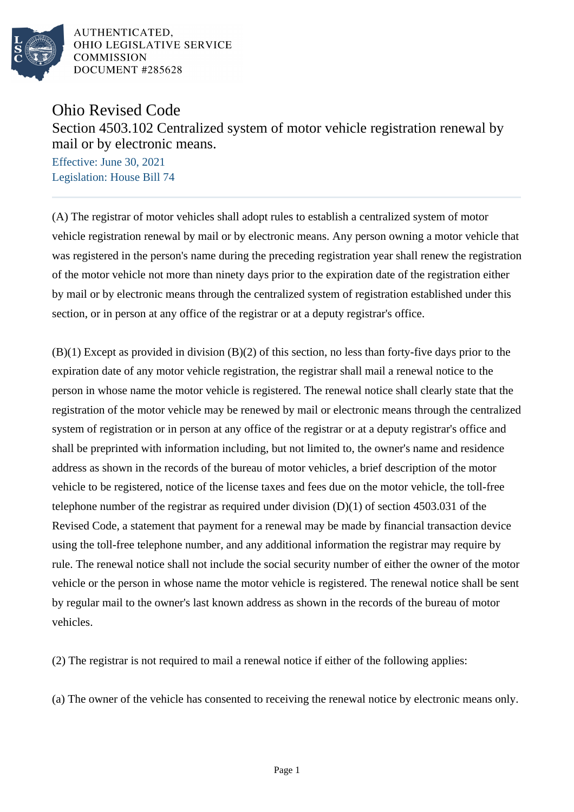

AUTHENTICATED. OHIO LEGISLATIVE SERVICE **COMMISSION** DOCUMENT #285628

## Ohio Revised Code Section 4503.102 Centralized system of motor vehicle registration renewal by mail or by electronic means.

Effective: June 30, 2021 Legislation: House Bill 74

(A) The registrar of motor vehicles shall adopt rules to establish a centralized system of motor vehicle registration renewal by mail or by electronic means. Any person owning a motor vehicle that was registered in the person's name during the preceding registration year shall renew the registration of the motor vehicle not more than ninety days prior to the expiration date of the registration either by mail or by electronic means through the centralized system of registration established under this section, or in person at any office of the registrar or at a deputy registrar's office.

(B)(1) Except as provided in division (B)(2) of this section, no less than forty-five days prior to the expiration date of any motor vehicle registration, the registrar shall mail a renewal notice to the person in whose name the motor vehicle is registered. The renewal notice shall clearly state that the registration of the motor vehicle may be renewed by mail or electronic means through the centralized system of registration or in person at any office of the registrar or at a deputy registrar's office and shall be preprinted with information including, but not limited to, the owner's name and residence address as shown in the records of the bureau of motor vehicles, a brief description of the motor vehicle to be registered, notice of the license taxes and fees due on the motor vehicle, the toll-free telephone number of the registrar as required under division  $(D)(1)$  of section 4503.031 of the Revised Code, a statement that payment for a renewal may be made by financial transaction device using the toll-free telephone number, and any additional information the registrar may require by rule. The renewal notice shall not include the social security number of either the owner of the motor vehicle or the person in whose name the motor vehicle is registered. The renewal notice shall be sent by regular mail to the owner's last known address as shown in the records of the bureau of motor vehicles.

(2) The registrar is not required to mail a renewal notice if either of the following applies:

(a) The owner of the vehicle has consented to receiving the renewal notice by electronic means only.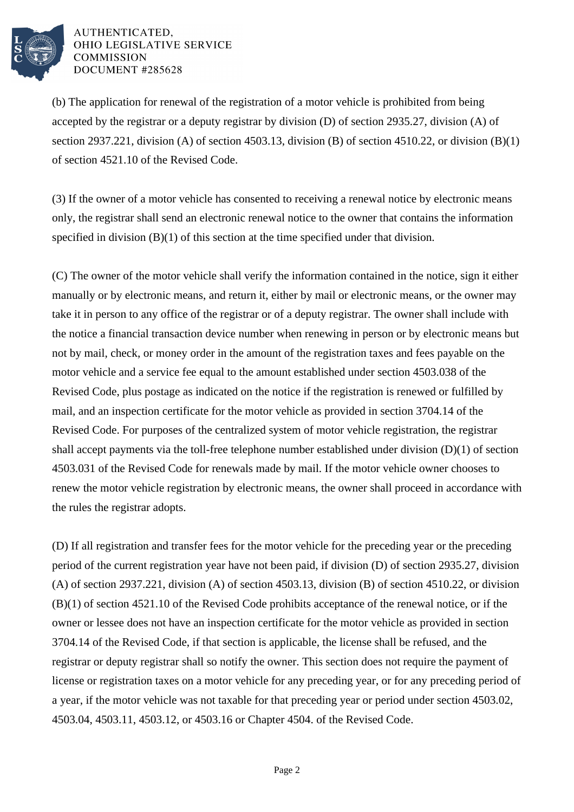

## AUTHENTICATED. OHIO LEGISLATIVE SERVICE **COMMISSION** DOCUMENT #285628

(b) The application for renewal of the registration of a motor vehicle is prohibited from being accepted by the registrar or a deputy registrar by division (D) of section 2935.27, division (A) of section 2937.221, division (A) of section 4503.13, division (B) of section 4510.22, or division (B)(1) of section 4521.10 of the Revised Code.

(3) If the owner of a motor vehicle has consented to receiving a renewal notice by electronic means only, the registrar shall send an electronic renewal notice to the owner that contains the information specified in division (B)(1) of this section at the time specified under that division.

(C) The owner of the motor vehicle shall verify the information contained in the notice, sign it either manually or by electronic means, and return it, either by mail or electronic means, or the owner may take it in person to any office of the registrar or of a deputy registrar. The owner shall include with the notice a financial transaction device number when renewing in person or by electronic means but not by mail, check, or money order in the amount of the registration taxes and fees payable on the motor vehicle and a service fee equal to the amount established under section 4503.038 of the Revised Code, plus postage as indicated on the notice if the registration is renewed or fulfilled by mail, and an inspection certificate for the motor vehicle as provided in section 3704.14 of the Revised Code. For purposes of the centralized system of motor vehicle registration, the registrar shall accept payments via the toll-free telephone number established under division (D)(1) of section 4503.031 of the Revised Code for renewals made by mail. If the motor vehicle owner chooses to renew the motor vehicle registration by electronic means, the owner shall proceed in accordance with the rules the registrar adopts.

(D) If all registration and transfer fees for the motor vehicle for the preceding year or the preceding period of the current registration year have not been paid, if division (D) of section 2935.27, division (A) of section 2937.221, division (A) of section 4503.13, division (B) of section 4510.22, or division (B)(1) of section 4521.10 of the Revised Code prohibits acceptance of the renewal notice, or if the owner or lessee does not have an inspection certificate for the motor vehicle as provided in section 3704.14 of the Revised Code, if that section is applicable, the license shall be refused, and the registrar or deputy registrar shall so notify the owner. This section does not require the payment of license or registration taxes on a motor vehicle for any preceding year, or for any preceding period of a year, if the motor vehicle was not taxable for that preceding year or period under section 4503.02, 4503.04, 4503.11, 4503.12, or 4503.16 or Chapter 4504. of the Revised Code.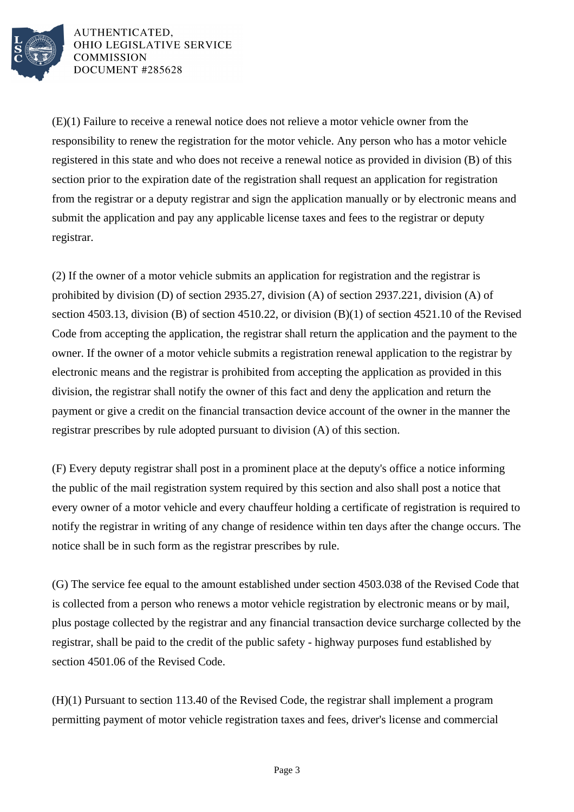

AUTHENTICATED. OHIO LEGISLATIVE SERVICE **COMMISSION** DOCUMENT #285628

(E)(1) Failure to receive a renewal notice does not relieve a motor vehicle owner from the responsibility to renew the registration for the motor vehicle. Any person who has a motor vehicle registered in this state and who does not receive a renewal notice as provided in division (B) of this section prior to the expiration date of the registration shall request an application for registration from the registrar or a deputy registrar and sign the application manually or by electronic means and submit the application and pay any applicable license taxes and fees to the registrar or deputy registrar.

(2) If the owner of a motor vehicle submits an application for registration and the registrar is prohibited by division (D) of section 2935.27, division (A) of section 2937.221, division (A) of section 4503.13, division (B) of section 4510.22, or division (B)(1) of section 4521.10 of the Revised Code from accepting the application, the registrar shall return the application and the payment to the owner. If the owner of a motor vehicle submits a registration renewal application to the registrar by electronic means and the registrar is prohibited from accepting the application as provided in this division, the registrar shall notify the owner of this fact and deny the application and return the payment or give a credit on the financial transaction device account of the owner in the manner the registrar prescribes by rule adopted pursuant to division (A) of this section.

(F) Every deputy registrar shall post in a prominent place at the deputy's office a notice informing the public of the mail registration system required by this section and also shall post a notice that every owner of a motor vehicle and every chauffeur holding a certificate of registration is required to notify the registrar in writing of any change of residence within ten days after the change occurs. The notice shall be in such form as the registrar prescribes by rule.

(G) The service fee equal to the amount established under section 4503.038 of the Revised Code that is collected from a person who renews a motor vehicle registration by electronic means or by mail, plus postage collected by the registrar and any financial transaction device surcharge collected by the registrar, shall be paid to the credit of the public safety - highway purposes fund established by section 4501.06 of the Revised Code.

(H)(1) Pursuant to section 113.40 of the Revised Code, the registrar shall implement a program permitting payment of motor vehicle registration taxes and fees, driver's license and commercial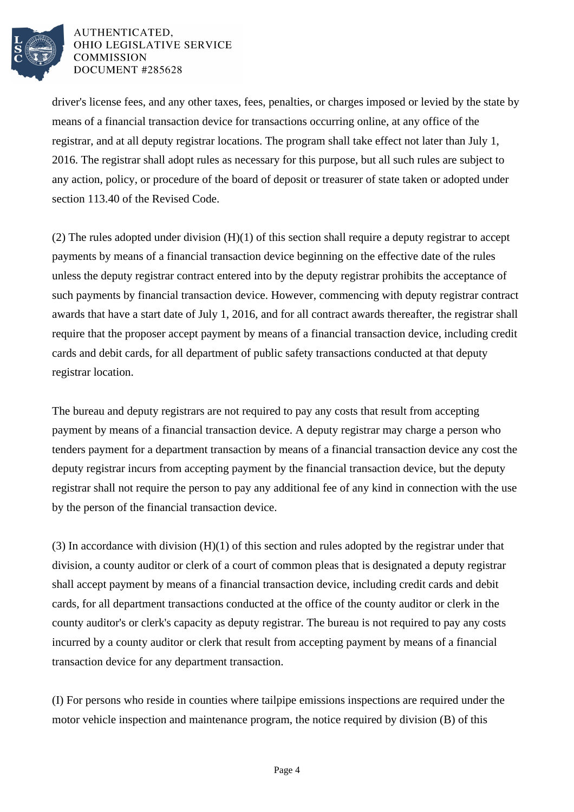

## AUTHENTICATED, OHIO LEGISLATIVE SERVICE **COMMISSION** DOCUMENT #285628

driver's license fees, and any other taxes, fees, penalties, or charges imposed or levied by the state by means of a financial transaction device for transactions occurring online, at any office of the registrar, and at all deputy registrar locations. The program shall take effect not later than July 1, 2016. The registrar shall adopt rules as necessary for this purpose, but all such rules are subject to any action, policy, or procedure of the board of deposit or treasurer of state taken or adopted under section 113.40 of the Revised Code.

(2) The rules adopted under division (H)(1) of this section shall require a deputy registrar to accept payments by means of a financial transaction device beginning on the effective date of the rules unless the deputy registrar contract entered into by the deputy registrar prohibits the acceptance of such payments by financial transaction device. However, commencing with deputy registrar contract awards that have a start date of July 1, 2016, and for all contract awards thereafter, the registrar shall require that the proposer accept payment by means of a financial transaction device, including credit cards and debit cards, for all department of public safety transactions conducted at that deputy registrar location.

The bureau and deputy registrars are not required to pay any costs that result from accepting payment by means of a financial transaction device. A deputy registrar may charge a person who tenders payment for a department transaction by means of a financial transaction device any cost the deputy registrar incurs from accepting payment by the financial transaction device, but the deputy registrar shall not require the person to pay any additional fee of any kind in connection with the use by the person of the financial transaction device.

(3) In accordance with division (H)(1) of this section and rules adopted by the registrar under that division, a county auditor or clerk of a court of common pleas that is designated a deputy registrar shall accept payment by means of a financial transaction device, including credit cards and debit cards, for all department transactions conducted at the office of the county auditor or clerk in the county auditor's or clerk's capacity as deputy registrar. The bureau is not required to pay any costs incurred by a county auditor or clerk that result from accepting payment by means of a financial transaction device for any department transaction.

(I) For persons who reside in counties where tailpipe emissions inspections are required under the motor vehicle inspection and maintenance program, the notice required by division (B) of this